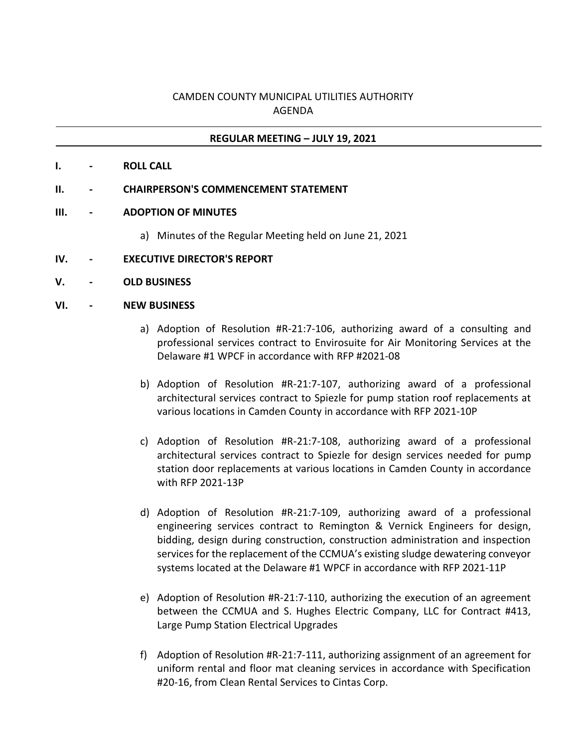# CAMDEN COUNTY MUNICIPAL UTILITIES AUTHORITY AGENDA

## **REGULAR MEETING – JULY 19, 2021**

- **I. - ROLL CALL**
- **II. - CHAIRPERSON'S COMMENCEMENT STATEMENT**
- **III. - ADOPTION OF MINUTES**
	- a) Minutes of the Regular Meeting held on June 21, 2021

### **IV. - EXECUTIVE DIRECTOR'S REPORT**

**V. - OLD BUSINESS**

### **VI. - NEW BUSINESS**

- a) Adoption of Resolution #R-21:7-106, authorizing award of a consulting and professional services contract to Envirosuite for Air Monitoring Services at the Delaware #1 WPCF in accordance with RFP #2021-08
- b) Adoption of Resolution #R-21:7-107, authorizing award of a professional architectural services contract to Spiezle for pump station roof replacements at various locations in Camden County in accordance with RFP 2021-10P
- c) Adoption of Resolution #R-21:7-108, authorizing award of a professional architectural services contract to Spiezle for design services needed for pump station door replacements at various locations in Camden County in accordance with RFP 2021-13P
- d) Adoption of Resolution #R-21:7-109, authorizing award of a professional engineering services contract to Remington & Vernick Engineers for design, bidding, design during construction, construction administration and inspection services for the replacement of the CCMUA's existing sludge dewatering conveyor systems located at the Delaware #1 WPCF in accordance with RFP 2021-11P
- e) Adoption of Resolution #R-21:7-110, authorizing the execution of an agreement between the CCMUA and S. Hughes Electric Company, LLC for Contract #413, Large Pump Station Electrical Upgrades
- f) Adoption of Resolution #R-21:7-111, authorizing assignment of an agreement for uniform rental and floor mat cleaning services in accordance with Specification #20-16, from Clean Rental Services to Cintas Corp.